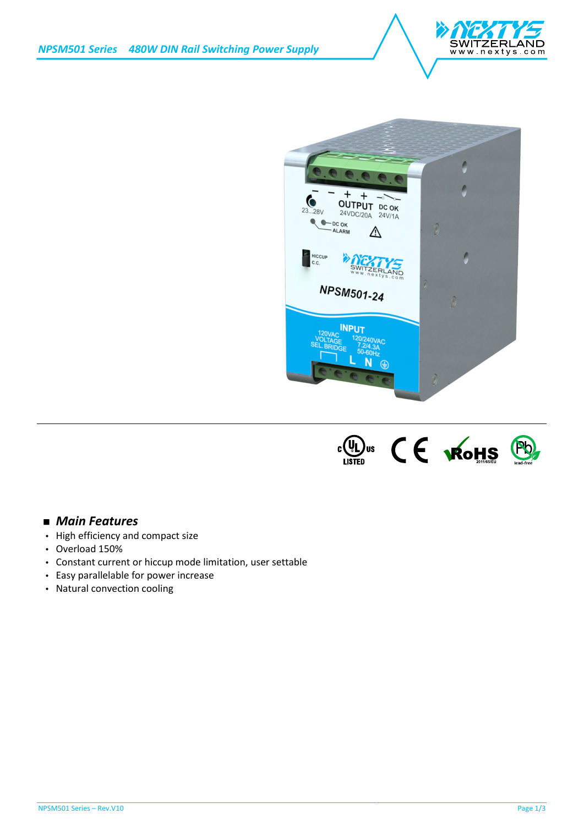





## *Main Features*

- High efficiency and compact size
- Overload 150%
- Constant current or hiccup mode limitation, user settable
- Easy parallelable for power increase
- Natural convection cooling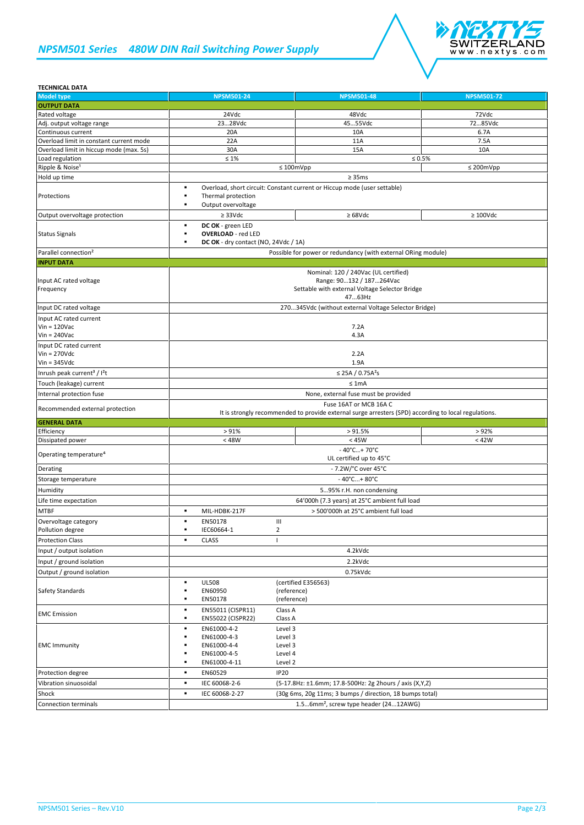## *NPSM501 Series 480W DIN Rail Switching Power Supply*



| <b>TECHNICAL DATA</b>                                         |                                                                                                                                                                                      |                                                            |                   |  |
|---------------------------------------------------------------|--------------------------------------------------------------------------------------------------------------------------------------------------------------------------------------|------------------------------------------------------------|-------------------|--|
| <b>Model type</b>                                             | <b>NPSM501-24</b>                                                                                                                                                                    | <b>NPSM501-48</b>                                          | <b>NPSM501-72</b> |  |
| <b>OUTPUT DATA</b>                                            |                                                                                                                                                                                      |                                                            |                   |  |
| Rated voltage                                                 | 24Vdc                                                                                                                                                                                | 48Vdc                                                      | 72Vdc             |  |
| Adj. output voltage range                                     | 2328Vdc                                                                                                                                                                              | 4555Vdc                                                    | 7285Vdc           |  |
| Continuous current                                            | 20A                                                                                                                                                                                  | 10A                                                        | 6.7A              |  |
| Overload limit in constant current mode                       | 22A                                                                                                                                                                                  | 11A                                                        | 7.5A              |  |
| Overload limit in hiccup mode (max. 5s)                       | 30A                                                                                                                                                                                  | 15A                                                        | 10A               |  |
| Load regulation                                               | $\leq 1\%$                                                                                                                                                                           |                                                            | $\leq 0.5\%$      |  |
| Ripple & Noise <sup>1</sup>                                   |                                                                                                                                                                                      | $\leq 100$ mVpp                                            | $\leq$ 200mVpp    |  |
| Hold up time                                                  |                                                                                                                                                                                      | $\geq 35 \text{ms}$                                        |                   |  |
| Protections                                                   | Overload, short circuit: Constant current or Hiccup mode (user settable)<br>٠<br>٠<br>Thermal protection<br>Output overvoltage<br>٠                                                  |                                                            |                   |  |
| Output overvoltage protection                                 | $\geq$ 33Vdc                                                                                                                                                                         | $\geq 68$ Vdc                                              | $\geq 100$ Vdc    |  |
| <b>Status Signals</b>                                         | DC OK - green LED<br>٠<br><b>OVERLOAD</b> - red LED<br>٠<br>DC OK - dry contact (NO, 24Vdc / 1A)<br>٠                                                                                |                                                            |                   |  |
| Parallel connection <sup>2</sup>                              | Possible for power or redundancy (with external ORing module)                                                                                                                        |                                                            |                   |  |
| <b>INPUT DATA</b>                                             |                                                                                                                                                                                      |                                                            |                   |  |
| Input AC rated voltage<br>Frequency<br>Input DC rated voltage | Nominal: 120 / 240Vac (UL certified)<br>Range: 90132 / 187264Vac<br>Settable with external Voltage Selector Bridge<br>4763Hz<br>270345Vdc (without external Voltage Selector Bridge) |                                                            |                   |  |
| Input AC rated current                                        |                                                                                                                                                                                      |                                                            |                   |  |
| $Vin = 120$ Vac                                               | 7.2A                                                                                                                                                                                 |                                                            |                   |  |
| $Vin = 240$ Vac                                               | 4.3A                                                                                                                                                                                 |                                                            |                   |  |
| Input DC rated current                                        |                                                                                                                                                                                      |                                                            |                   |  |
| $V$ in = 270 $V$ dc                                           |                                                                                                                                                                                      | 2.2A                                                       |                   |  |
| $Vin = 345Vdc$                                                | 1.9A                                                                                                                                                                                 |                                                            |                   |  |
| Inrush peak current <sup>3</sup> / I <sup>2</sup> t           | ≤ 25A / 0.75A <sup>2</sup> s                                                                                                                                                         |                                                            |                   |  |
| Touch (leakage) current                                       |                                                                                                                                                                                      | $\leq 1$ mA                                                |                   |  |
| Internal protection fuse                                      | None, external fuse must be provided                                                                                                                                                 |                                                            |                   |  |
|                                                               | Fuse 16AT or MCB 16A C                                                                                                                                                               |                                                            |                   |  |
| Recommended external protection                               | It is strongly recommended to provide external surge arresters (SPD) according to local regulations.                                                                                 |                                                            |                   |  |
|                                                               |                                                                                                                                                                                      |                                                            |                   |  |
| <b>GENERAL DATA</b>                                           |                                                                                                                                                                                      |                                                            |                   |  |
| Efficiency<br>Dissipated power                                | > 91%<br>$<$ 48W                                                                                                                                                                     | > 91.5%<br>< 45W                                           | > 92%<br>< 42W    |  |
| Operating temperature <sup>4</sup>                            |                                                                                                                                                                                      | $-40^{\circ}$ C+70 $^{\circ}$ C<br>UL certified up to 45°C |                   |  |
| Derating                                                      |                                                                                                                                                                                      | - 7.2W/°C over 45°C                                        |                   |  |
| Storage temperature                                           |                                                                                                                                                                                      | $-40^{\circ}$ C + 80 $^{\circ}$ C                          |                   |  |
|                                                               |                                                                                                                                                                                      |                                                            |                   |  |
| Humidity                                                      |                                                                                                                                                                                      | 595% r.H. non condensing                                   |                   |  |
| Life time expectation                                         |                                                                                                                                                                                      | 64'000h (7.3 years) at 25°C ambient full load              |                   |  |
| <b>MTBF</b>                                                   | ٠<br>MIL-HDBK-217F                                                                                                                                                                   | > 500'000h at 25°C ambient full load                       |                   |  |
| Overvoltage category                                          | EN50178<br>٠                                                                                                                                                                         | Ш                                                          |                   |  |
| Pollution degree                                              | IEC60664-1<br>٠                                                                                                                                                                      | $\overline{2}$                                             |                   |  |
| <b>Protection Class</b>                                       | <b>CLASS</b><br>٠                                                                                                                                                                    | $\mathbf{I}$                                               |                   |  |
| Input / output isolation                                      |                                                                                                                                                                                      | 4.2kVdc                                                    |                   |  |
| Input / ground isolation                                      |                                                                                                                                                                                      | 2.2kVdc                                                    |                   |  |
| Output / ground isolation                                     |                                                                                                                                                                                      | 0.75kVdc                                                   |                   |  |
| Safety Standards                                              | <b>UL508</b><br>٠<br>٠<br>EN60950<br>EN50178<br>٠                                                                                                                                    | (certified E356563)<br>(reference)<br>(reference)          |                   |  |
| <b>EMC</b> Emission                                           | EN55011 (CISPR11)<br>٠<br>EN55022 (CISPR22)<br>٠                                                                                                                                     | Class A<br>Class A                                         |                   |  |
| <b>EMC Immunity</b>                                           | EN61000-4-2<br>٠<br>EN61000-4-3<br>×<br>EN61000-4-4<br>EN61000-4-5<br>EN61000-4-11<br>٠                                                                                              | Level 3<br>Level 3<br>Level 3<br>Level 4<br>Level 2        |                   |  |
| Protection degree                                             | EN60529<br>٠                                                                                                                                                                         | <b>IP20</b>                                                |                   |  |
| Vibration sinuosoidal                                         | ٠<br>IEC 60068-2-6                                                                                                                                                                   | (5-17.8Hz: ±1.6mm; 17.8-500Hz: 2g 2hours / axis (X,Y,Z)    |                   |  |
| Shock                                                         | IEC 60068-2-27<br>٠                                                                                                                                                                  | (30g 6ms, 20g 11ms; 3 bumps / direction, 18 bumps total)   |                   |  |